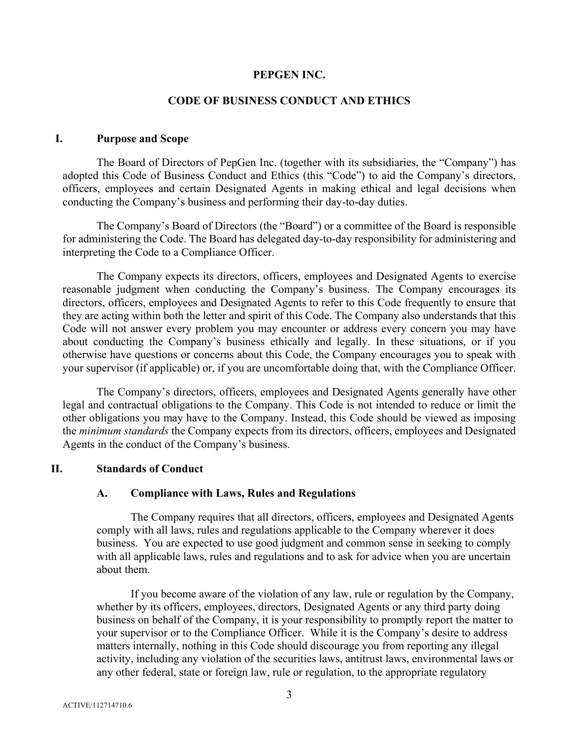#### **PEPGEN INC.**

## **CODE OF BUSINESS CONDUCT AND ETHICS**

### **I. Purpose and Scope**

The Board of Directors of PepGen Inc. (together with its subsidiaries, the "Company") has adopted this Code of Business Conduct and Ethics (this "Code") to aid the Company's directors, officers, employees and certain Designated Agents in making ethical and legal decisions when conducting the Company's business and performing their day-to-day duties.

The Company's Board of Directors (the "Board") or a committee of the Board is responsible for administering the Code. The Board has delegated day-to-day responsibility for administering and interpreting the Code to a Compliance Officer.

The Company expects its directors, officers, employees and Designated Agents to exercise reasonable judgment when conducting the Company's business. The Company encourages its directors, officers, employees and Designated Agents to refer to this Code frequently to ensure that they are acting within both the letter and spirit of this Code. The Company also understands that this Code will not answer every problem you may encounter or address every concern you may have about conducting the Company's business ethically and legally. In these situations, or if you otherwise have questions or concerns about this Code, the Company encourages you to speak with your supervisor (if applicable) or, if you are uncomfortable doing that, with the Compliance Officer.

The Company's directors, officers, employees and Designated Agents generally have other legal and contractual obligations to the Company. This Code is not intended to reduce or limit the other obligations you may have to the Company. Instead, this Code should be viewed as imposing the *minimum standards* the Company expects from its directors, officers, employees and Designated Agents in the conduct of the Company's business.

### **II. Standards of Conduct**

### **A. Compliance with Laws, Rules and Regulations**

The Company requires that all directors, officers, employees and Designated Agents comply with all laws, rules and regulations applicable to the Company wherever it does business. You are expected to use good judgment and common sense in seeking to comply with all applicable laws, rules and regulations and to ask for advice when you are uncertain about them.

If you become aware of the violation of any law, rule or regulation by the Company, whether by its officers, employees, directors, Designated Agents or any third party doing business on behalf of the Company, it is your responsibility to promptly report the matter to your supervisor or to the Compliance Officer. While it is the Company's desire to address matters internally, nothing in this Code should discourage you from reporting any illegal activity, including any violation of the securities laws, antitrust laws, environmental laws or any other federal, state or foreign law, rule or regulation, to the appropriate regulatory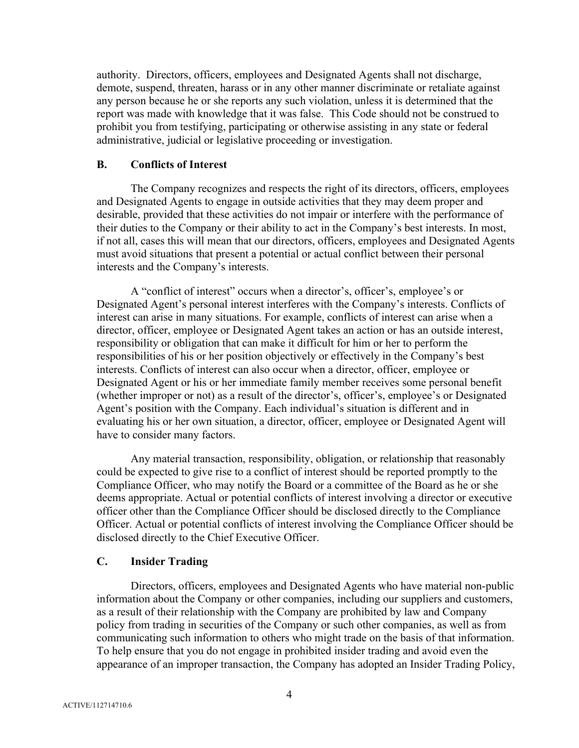authority. Directors, officers, employees and Designated Agents shall not discharge, demote, suspend, threaten, harass or in any other manner discriminate or retaliate against any person because he or she reports any such violation, unless it is determined that the report was made with knowledge that it was false. This Code should not be construed to prohibit you from testifying, participating or otherwise assisting in any state or federal administrative, judicial or legislative proceeding or investigation.

#### **B. Conflicts of Interest**

The Company recognizes and respects the right of its directors, officers, employees and Designated Agents to engage in outside activities that they may deem proper and desirable, provided that these activities do not impair or interfere with the performance of their duties to the Company or their ability to act in the Company's best interests. In most, if not all, cases this will mean that our directors, officers, employees and Designated Agents must avoid situations that present a potential or actual conflict between their personal interests and the Company's interests.

A "conflict of interest" occurs when a director's, officer's, employee's or Designated Agent's personal interest interferes with the Company's interests. Conflicts of interest can arise in many situations. For example, conflicts of interest can arise when a director, officer, employee or Designated Agent takes an action or has an outside interest, responsibility or obligation that can make it difficult for him or her to perform the responsibilities of his or her position objectively or effectively in the Company's best interests. Conflicts of interest can also occur when a director, officer, employee or Designated Agent or his or her immediate family member receives some personal benefit (whether improper or not) as a result of the director's, officer's, employee's or Designated Agent's position with the Company. Each individual's situation is different and in evaluating his or her own situation, a director, officer, employee or Designated Agent will have to consider many factors.

Any material transaction, responsibility, obligation, or relationship that reasonably could be expected to give rise to a conflict of interest should be reported promptly to the Compliance Officer, who may notify the Board or a committee of the Board as he or she deems appropriate. Actual or potential conflicts of interest involving a director or executive officer other than the Compliance Officer should be disclosed directly to the Compliance Officer. Actual or potential conflicts of interest involving the Compliance Officer should be disclosed directly to the Chief Executive Officer.

## **C. Insider Trading**

Directors, officers, employees and Designated Agents who have material non-public information about the Company or other companies, including our suppliers and customers, as a result of their relationship with the Company are prohibited by law and Company policy from trading in securities of the Company or such other companies, as well as from communicating such information to others who might trade on the basis of that information. To help ensure that you do not engage in prohibited insider trading and avoid even the appearance of an improper transaction, the Company has adopted an Insider Trading Policy,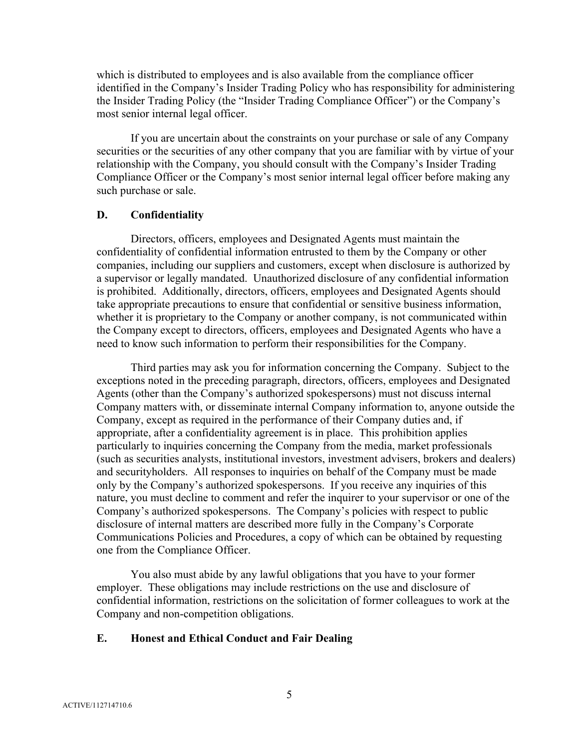which is distributed to employees and is also available from the compliance officer identified in the Company's Insider Trading Policy who has responsibility for administering the Insider Trading Policy (the "Insider Trading Compliance Officer") or the Company's most senior internal legal officer.

If you are uncertain about the constraints on your purchase or sale of any Company securities or the securities of any other company that you are familiar with by virtue of your relationship with the Company, you should consult with the Company's Insider Trading Compliance Officer or the Company's most senior internal legal officer before making any such purchase or sale.

### **D. Confidentiality**

Directors, officers, employees and Designated Agents must maintain the confidentiality of confidential information entrusted to them by the Company or other companies, including our suppliers and customers, except when disclosure is authorized by a supervisor or legally mandated. Unauthorized disclosure of any confidential information is prohibited. Additionally, directors, officers, employees and Designated Agents should take appropriate precautions to ensure that confidential or sensitive business information, whether it is proprietary to the Company or another company, is not communicated within the Company except to directors, officers, employees and Designated Agents who have a need to know such information to perform their responsibilities for the Company.

Third parties may ask you for information concerning the Company. Subject to the exceptions noted in the preceding paragraph, directors, officers, employees and Designated Agents (other than the Company's authorized spokespersons) must not discuss internal Company matters with, or disseminate internal Company information to, anyone outside the Company, except as required in the performance of their Company duties and, if appropriate, after a confidentiality agreement is in place. This prohibition applies particularly to inquiries concerning the Company from the media, market professionals (such as securities analysts, institutional investors, investment advisers, brokers and dealers) and securityholders. All responses to inquiries on behalf of the Company must be made only by the Company's authorized spokespersons. If you receive any inquiries of this nature, you must decline to comment and refer the inquirer to your supervisor or one of the Company's authorized spokespersons. The Company's policies with respect to public disclosure of internal matters are described more fully in the Company's Corporate Communications Policies and Procedures, a copy of which can be obtained by requesting one from the Compliance Officer.

You also must abide by any lawful obligations that you have to your former employer. These obligations may include restrictions on the use and disclosure of confidential information, restrictions on the solicitation of former colleagues to work at the Company and non-competition obligations.

### **E. Honest and Ethical Conduct and Fair Dealing**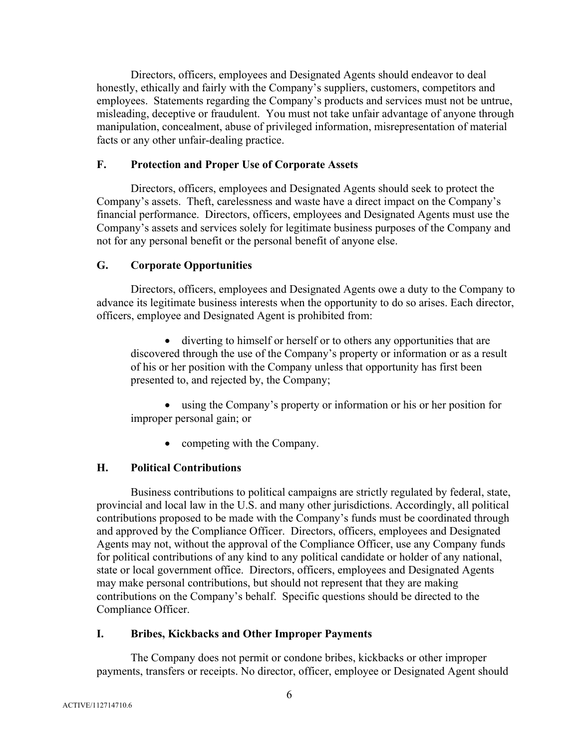Directors, officers, employees and Designated Agents should endeavor to deal honestly, ethically and fairly with the Company's suppliers, customers, competitors and employees. Statements regarding the Company's products and services must not be untrue, misleading, deceptive or fraudulent. You must not take unfair advantage of anyone through manipulation, concealment, abuse of privileged information, misrepresentation of material facts or any other unfair-dealing practice.

# **F. Protection and Proper Use of Corporate Assets**

Directors, officers, employees and Designated Agents should seek to protect the Company's assets. Theft, carelessness and waste have a direct impact on the Company's financial performance. Directors, officers, employees and Designated Agents must use the Company's assets and services solely for legitimate business purposes of the Company and not for any personal benefit or the personal benefit of anyone else.

# **G. Corporate Opportunities**

Directors, officers, employees and Designated Agents owe a duty to the Company to advance its legitimate business interests when the opportunity to do so arises. Each director, officers, employee and Designated Agent is prohibited from:

• diverting to himself or herself or to others any opportunities that are discovered through the use of the Company's property or information or as a result of his or her position with the Company unless that opportunity has first been presented to, and rejected by, the Company;

• using the Company's property or information or his or her position for improper personal gain; or

• competing with the Company.

# **H. Political Contributions**

Business contributions to political campaigns are strictly regulated by federal, state, provincial and local law in the U.S. and many other jurisdictions. Accordingly, all political contributions proposed to be made with the Company's funds must be coordinated through and approved by the Compliance Officer. Directors, officers, employees and Designated Agents may not, without the approval of the Compliance Officer, use any Company funds for political contributions of any kind to any political candidate or holder of any national, state or local government office. Directors, officers, employees and Designated Agents may make personal contributions, but should not represent that they are making contributions on the Company's behalf. Specific questions should be directed to the Compliance Officer.

# **I. Bribes, Kickbacks and Other Improper Payments**

The Company does not permit or condone bribes, kickbacks or other improper payments, transfers or receipts. No director, officer, employee or Designated Agent should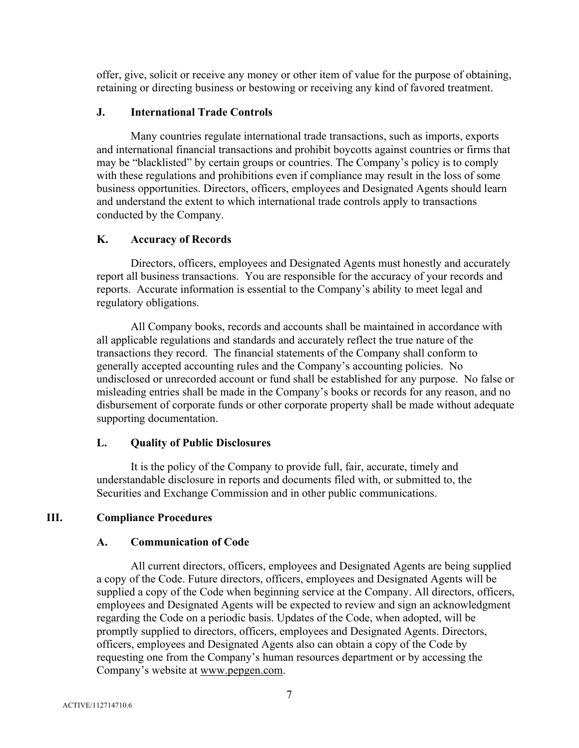offer, give, solicit or receive any money or other item of value for the purpose of obtaining, retaining or directing business or bestowing or receiving any kind of favored treatment.

### **J. International Trade Controls**

Many countries regulate international trade transactions, such as imports, exports and international financial transactions and prohibit boycotts against countries or firms that may be "blacklisted" by certain groups or countries. The Company's policy is to comply with these regulations and prohibitions even if compliance may result in the loss of some business opportunities. Directors, officers, employees and Designated Agents should learn and understand the extent to which international trade controls apply to transactions conducted by the Company.

# **K. Accuracy of Records**

Directors, officers, employees and Designated Agents must honestly and accurately report all business transactions. You are responsible for the accuracy of your records and reports. Accurate information is essential to the Company's ability to meet legal and regulatory obligations.

All Company books, records and accounts shall be maintained in accordance with all applicable regulations and standards and accurately reflect the true nature of the transactions they record. The financial statements of the Company shall conform to generally accepted accounting rules and the Company's accounting policies. No undisclosed or unrecorded account or fund shall be established for any purpose. No false or misleading entries shall be made in the Company's books or records for any reason, and no disbursement of corporate funds or other corporate property shall be made without adequate supporting documentation.

# **L. Quality of Public Disclosures**

It is the policy of the Company to provide full, fair, accurate, timely and understandable disclosure in reports and documents filed with, or submitted to, the Securities and Exchange Commission and in other public communications.

# **III. Compliance Procedures**

### **A. Communication of Code**

All current directors, officers, employees and Designated Agents are being supplied a copy of the Code. Future directors, officers, employees and Designated Agents will be supplied a copy of the Code when beginning service at the Company. All directors, officers, employees and Designated Agents will be expected to review and sign an acknowledgment regarding the Code on a periodic basis. Updates of the Code, when adopted, will be promptly supplied to directors, officers, employees and Designated Agents. Directors, officers, employees and Designated Agents also can obtain a copy of the Code by requesting one from the Company's human resources department or by accessing the Company's website at www.pepgen.com.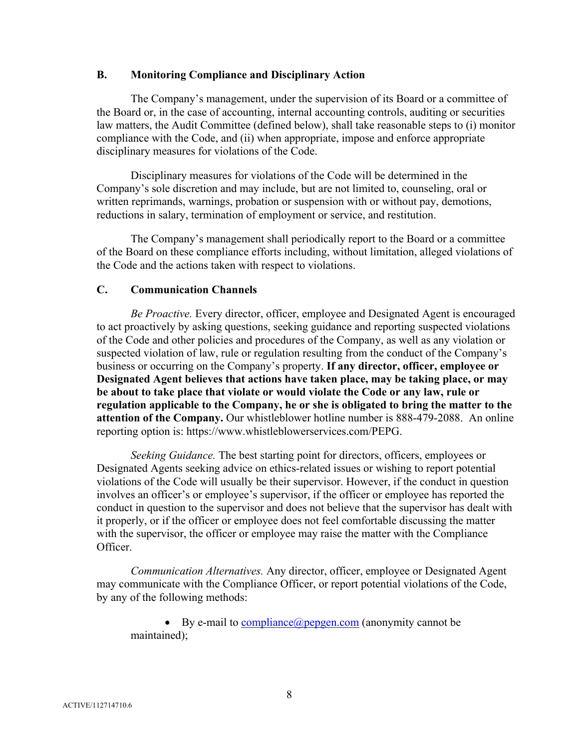### **B. Monitoring Compliance and Disciplinary Action**

The Company's management, under the supervision of its Board or a committee of the Board or, in the case of accounting, internal accounting controls, auditing or securities law matters, the Audit Committee (defined below), shall take reasonable steps to (i) monitor compliance with the Code, and (ii) when appropriate, impose and enforce appropriate disciplinary measures for violations of the Code.

Disciplinary measures for violations of the Code will be determined in the Company's sole discretion and may include, but are not limited to, counseling, oral or written reprimands, warnings, probation or suspension with or without pay, demotions, reductions in salary, termination of employment or service, and restitution.

The Company's management shall periodically report to the Board or a committee of the Board on these compliance efforts including, without limitation, alleged violations of the Code and the actions taken with respect to violations.

### **C. Communication Channels**

*Be Proactive.* Every director, officer, employee and Designated Agent is encouraged to act proactively by asking questions, seeking guidance and reporting suspected violations of the Code and other policies and procedures of the Company, as well as any violation or suspected violation of law, rule or regulation resulting from the conduct of the Company's business or occurring on the Company's property. **If any director, officer, employee or Designated Agent believes that actions have taken place, may be taking place, or may be about to take place that violate or would violate the Code or any law, rule or regulation applicable to the Company, he or she is obligated to bring the matter to the attention of the Company.** Our whistleblower hotline number is 888-479-2088. An online reporting option is: https://www.whistleblowerservices.com/PEPG.

*Seeking Guidance.* The best starting point for directors, officers, employees or Designated Agents seeking advice on ethics-related issues or wishing to report potential violations of the Code will usually be their supervisor. However, if the conduct in question involves an officer's or employee's supervisor, if the officer or employee has reported the conduct in question to the supervisor and does not believe that the supervisor has dealt with it properly, or if the officer or employee does not feel comfortable discussing the matter with the supervisor, the officer or employee may raise the matter with the Compliance Officer.

*Communication Alternatives.* Any director, officer, employee or Designated Agent may communicate with the Compliance Officer, or report potential violations of the Code, by any of the following methods:

• By e-mail to compliance  $(a)$  pepgen.com (anonymity cannot be maintained);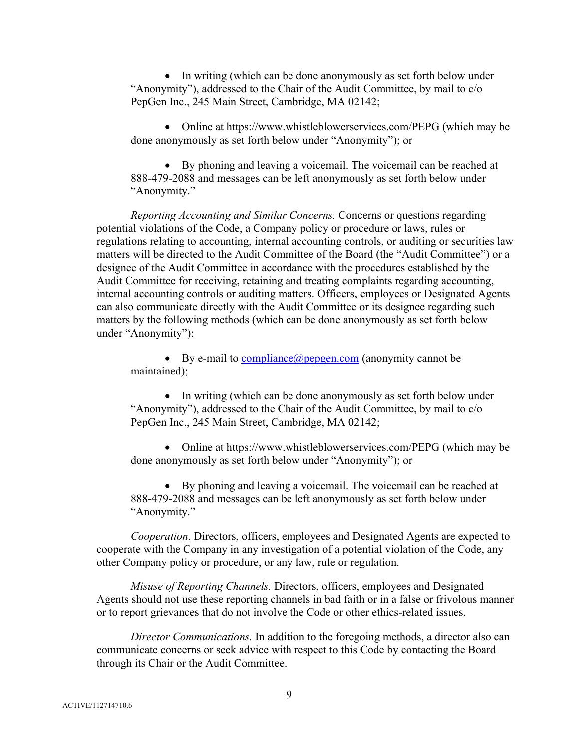• In writing (which can be done anonymously as set forth below under "Anonymity"), addressed to the Chair of the Audit Committee, by mail to c/o PepGen Inc., 245 Main Street, Cambridge, MA 02142;

• Online at https://www.whistleblowerservices.com/PEPG (which may be done anonymously as set forth below under "Anonymity"); or

• By phoning and leaving a voicemail. The voicemail can be reached at 888-479-2088 and messages can be left anonymously as set forth below under "Anonymity."

*Reporting Accounting and Similar Concerns.* Concerns or questions regarding potential violations of the Code, a Company policy or procedure or laws, rules or regulations relating to accounting, internal accounting controls, or auditing or securities law matters will be directed to the Audit Committee of the Board (the "Audit Committee") or a designee of the Audit Committee in accordance with the procedures established by the Audit Committee for receiving, retaining and treating complaints regarding accounting, internal accounting controls or auditing matters. Officers, employees or Designated Agents can also communicate directly with the Audit Committee or its designee regarding such matters by the following methods (which can be done anonymously as set forth below under "Anonymity"):

• By e-mail to  $compliance(a) peppen.com (anonymity cannot be$ </u> maintained);

• In writing (which can be done anonymously as set forth below under "Anonymity"), addressed to the Chair of the Audit Committee, by mail to c/o PepGen Inc., 245 Main Street, Cambridge, MA 02142;

• Online at https://www.whistleblowerservices.com/PEPG (which may be done anonymously as set forth below under "Anonymity"); or

• By phoning and leaving a voicemail. The voicemail can be reached at 888-479-2088 and messages can be left anonymously as set forth below under "Anonymity."

*Cooperation*. Directors, officers, employees and Designated Agents are expected to cooperate with the Company in any investigation of a potential violation of the Code, any other Company policy or procedure, or any law, rule or regulation.

*Misuse of Reporting Channels.* Directors, officers, employees and Designated Agents should not use these reporting channels in bad faith or in a false or frivolous manner or to report grievances that do not involve the Code or other ethics-related issues.

*Director Communications.* In addition to the foregoing methods, a director also can communicate concerns or seek advice with respect to this Code by contacting the Board through its Chair or the Audit Committee.